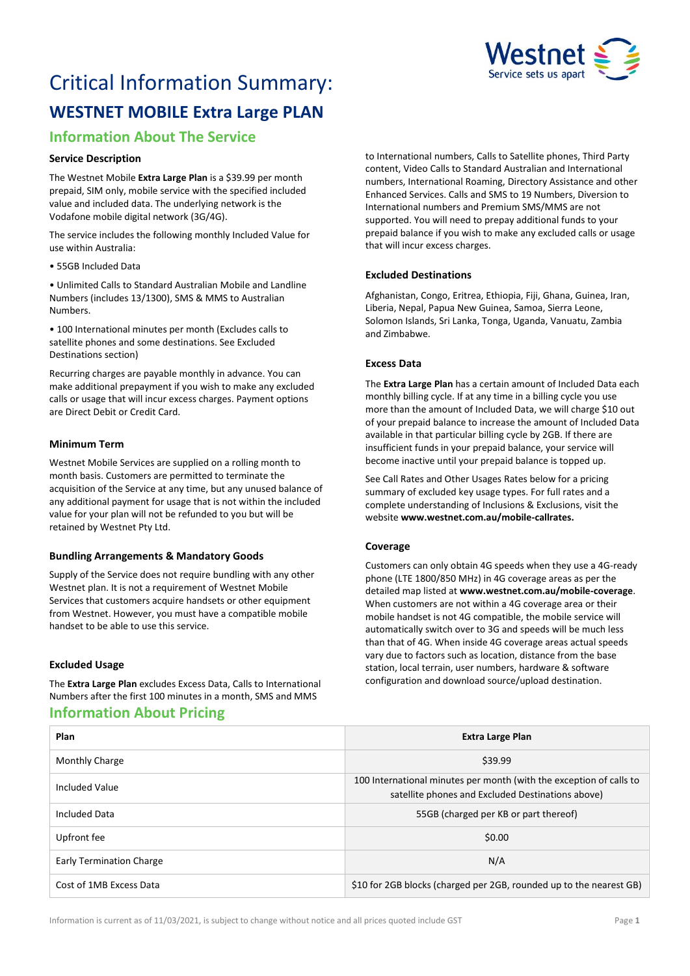

# Critical Information Summary: **WESTNET MOBILE Extra Large PLAN**

# **Information About The Service**

## **Service Description**

The Westnet Mobile **Extra Large Plan** is a \$39.99 per month prepaid, SIM only, mobile service with the specified included value and included data. The underlying network is the Vodafone mobile digital network (3G/4G).

The service includes the following monthly Included Value for use within Australia:

• 55GB Included Data

• Unlimited Calls to Standard Australian Mobile and Landline Numbers (includes 13/1300), SMS & MMS to Australian Numbers.

• 100 International minutes per month (Excludes calls to satellite phones and some destinations. See Excluded Destinations section)

Recurring charges are payable monthly in advance. You can make additional prepayment if you wish to make any excluded calls or usage that will incur excess charges. Payment options are Direct Debit or Credit Card.

## **Minimum Term**

Westnet Mobile Services are supplied on a rolling month to month basis. Customers are permitted to terminate the acquisition of the Service at any time, but any unused balance of any additional payment for usage that is not within the included value for your plan will not be refunded to you but will be retained by Westnet Pty Ltd.

# **Bundling Arrangements & Mandatory Goods**

Supply of the Service does not require bundling with any other Westnet plan. It is not a requirement of Westnet Mobile Services that customers acquire handsets or other equipment from Westnet. However, you must have a compatible mobile handset to be able to use this service.

# **Excluded Usage**

The **Extra Large Plan** excludes Excess Data, Calls to International Numbers after the first 100 minutes in a month, SMS and MMS

# **Information About Pricing**

to International numbers, Calls to Satellite phones, Third Party content, Video Calls to Standard Australian and International numbers, International Roaming, Directory Assistance and other Enhanced Services. Calls and SMS to 19 Numbers, Diversion to International numbers and Premium SMS/MMS are not supported. You will need to prepay additional funds to your prepaid balance if you wish to make any excluded calls or usage that will incur excess charges.

## **Excluded Destinations**

Afghanistan, Congo, Eritrea, Ethiopia, Fiji, Ghana, Guinea, Iran, Liberia, Nepal, Papua New Guinea, Samoa, Sierra Leone, Solomon Islands, Sri Lanka, Tonga, Uganda, Vanuatu, Zambia and Zimbabwe.

## **Excess Data**

The **Extra Large Plan** has a certain amount of Included Data each monthly billing cycle. If at any time in a billing cycle you use more than the amount of Included Data, we will charge \$10 out of your prepaid balance to increase the amount of Included Data available in that particular billing cycle by 2GB. If there are insufficient funds in your prepaid balance, your service will become inactive until your prepaid balance is topped up.

See Call Rates and Other Usages Rates below for a pricing summary of excluded key usage types. For full rates and a complete understanding of Inclusions & Exclusions, visit the website **[www.westnet.com.au/mobile-callrates.](http://www.westnet.com.au/mobile-callrates)**

# **Coverage**

Customers can only obtain 4G speeds when they use a 4G-ready phone (LTE 1800/850 MHz) in 4G coverage areas as per the detailed map listed at **[www.westnet.com.au/mobile-coverage](https://www.westnet.com.au/mobile-coverage)**. When customers are not within a 4G coverage area or their mobile handset is not 4G compatible, the mobile service will automatically switch over to 3G and speeds will be much less than that of 4G. When inside 4G coverage areas actual speeds vary due to factors such as location, distance from the base station, local terrain, user numbers, hardware & software configuration and download source/upload destination.

| Plan                            | <b>Extra Large Plan</b>                                                                                                  |
|---------------------------------|--------------------------------------------------------------------------------------------------------------------------|
| Monthly Charge                  | \$39.99                                                                                                                  |
| <b>Included Value</b>           | 100 International minutes per month (with the exception of calls to<br>satellite phones and Excluded Destinations above) |
| <b>Included Data</b>            | 55GB (charged per KB or part thereof)                                                                                    |
| Upfront fee                     | \$0.00                                                                                                                   |
| <b>Early Termination Charge</b> | N/A                                                                                                                      |
| Cost of 1MB Excess Data         | \$10 for 2GB blocks (charged per 2GB, rounded up to the nearest GB)                                                      |